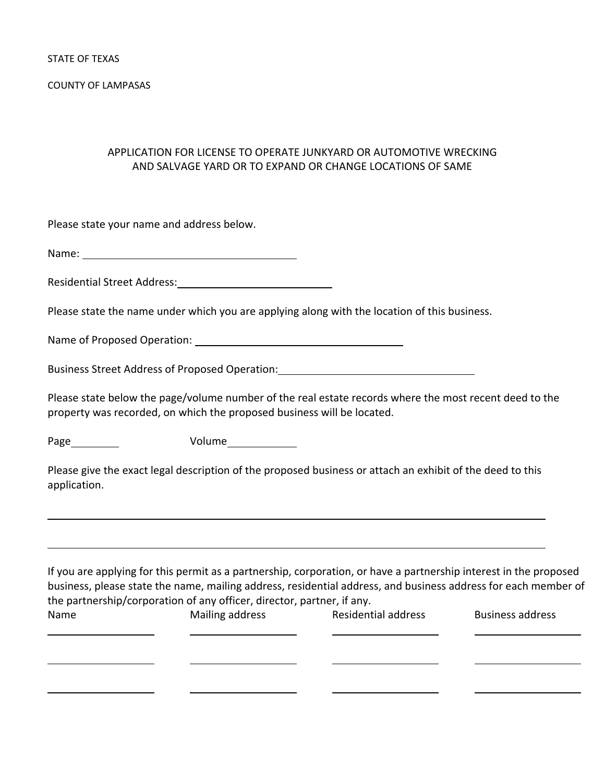COUNTY OF LAMPASAS

## APPLICATION FOR LICENSE TO OPERATE JUNKYARD OR AUTOMOTIVE WRECKING AND SALVAGE YARD OR TO EXPAND OR CHANGE LOCATIONS OF SAME

Please state your name and address below.

Name:

Residential Street Address:

Please state the name under which you are applying along with the location of this business.

Name of Proposed Operation:

Business Street Address of Proposed Operation:

Please state below the page/volume number of the real estate records where the most recent deed to the property was recorded, on which the proposed business will be located.

Page Nolume

Please give the exact legal description of the proposed business or attach an exhibit of the deed to this application.

<u> 1989 - Andrea Barbara, amerikan basar dan berasal di sebagai berasal di sebagai berasal di sebagai berasal d</u>

<u> 1989 - Andrea Barbara, amerikan basar dan berasal di sebagai berasal di sebagai berasal di sebagai berasal d</u>

If you are applying for this permit as a partnership, corporation, or have a partnership interest in the proposed business, please state the name, mailing address, residential address, and business address for each member of the partnership/corporation of any officer, director, partner, if any.

Name **Solution Mailing address** Residential address Business address **Residential** <u> 1980 - Andrea San Andrea San Andrea San Andrea San Andrea San Andrea San A</u>

<u> 1980 - Andrea Santa Alemania, poeta estadounidense de la contrada de la contrada de la contrada de la contra</u>

<u> 1980 - Andrea Santa Alemania, poeta estadounidense de la contrada de la contrada de la contrada de la contra</u>